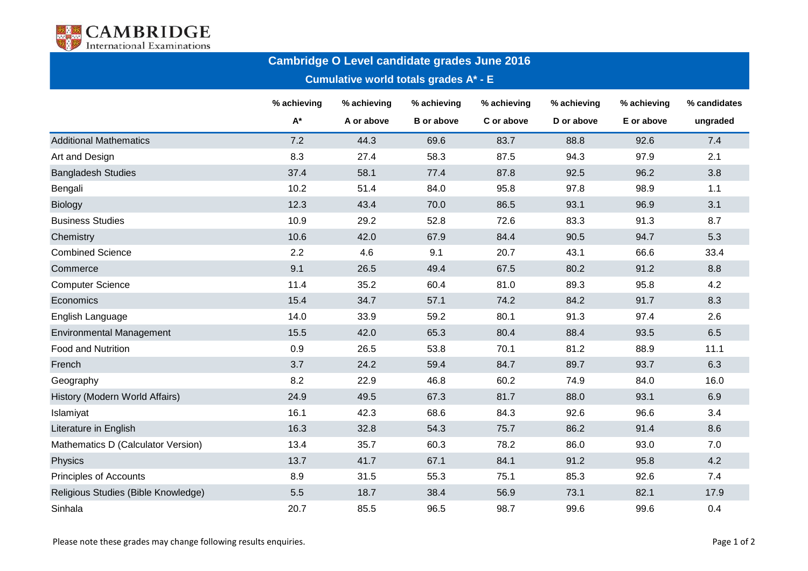

## **Cambridge O Level candidate grades June 2016**

**Cumulative world totals grades A\* - E**

|                                     | % achieving        | % achieving | % achieving       | % achieving | % achieving | % achieving | % candidates |
|-------------------------------------|--------------------|-------------|-------------------|-------------|-------------|-------------|--------------|
|                                     | $\mathsf{A}^\star$ | A or above  | <b>B</b> or above | C or above  | D or above  | E or above  | ungraded     |
| <b>Additional Mathematics</b>       | 7.2                | 44.3        | 69.6              | 83.7        | 88.8        | 92.6        | 7.4          |
| Art and Design                      | 8.3                | 27.4        | 58.3              | 87.5        | 94.3        | 97.9        | 2.1          |
| <b>Bangladesh Studies</b>           | 37.4               | 58.1        | 77.4              | 87.8        | 92.5        | 96.2        | 3.8          |
| Bengali                             | 10.2               | 51.4        | 84.0              | 95.8        | 97.8        | 98.9        | 1.1          |
| <b>Biology</b>                      | 12.3               | 43.4        | 70.0              | 86.5        | 93.1        | 96.9        | 3.1          |
| <b>Business Studies</b>             | 10.9               | 29.2        | 52.8              | 72.6        | 83.3        | 91.3        | 8.7          |
| Chemistry                           | 10.6               | 42.0        | 67.9              | 84.4        | 90.5        | 94.7        | 5.3          |
| <b>Combined Science</b>             | 2.2                | 4.6         | 9.1               | 20.7        | 43.1        | 66.6        | 33.4         |
| Commerce                            | 9.1                | 26.5        | 49.4              | 67.5        | 80.2        | 91.2        | 8.8          |
| <b>Computer Science</b>             | 11.4               | 35.2        | 60.4              | 81.0        | 89.3        | 95.8        | 4.2          |
| Economics                           | 15.4               | 34.7        | 57.1              | 74.2        | 84.2        | 91.7        | 8.3          |
| English Language                    | 14.0               | 33.9        | 59.2              | 80.1        | 91.3        | 97.4        | 2.6          |
| <b>Environmental Management</b>     | 15.5               | 42.0        | 65.3              | 80.4        | 88.4        | 93.5        | 6.5          |
| Food and Nutrition                  | 0.9                | 26.5        | 53.8              | 70.1        | 81.2        | 88.9        | 11.1         |
| French                              | 3.7                | 24.2        | 59.4              | 84.7        | 89.7        | 93.7        | 6.3          |
| Geography                           | 8.2                | 22.9        | 46.8              | 60.2        | 74.9        | 84.0        | 16.0         |
| History (Modern World Affairs)      | 24.9               | 49.5        | 67.3              | 81.7        | 88.0        | 93.1        | 6.9          |
| Islamiyat                           | 16.1               | 42.3        | 68.6              | 84.3        | 92.6        | 96.6        | 3.4          |
| Literature in English               | 16.3               | 32.8        | 54.3              | 75.7        | 86.2        | 91.4        | 8.6          |
| Mathematics D (Calculator Version)  | 13.4               | 35.7        | 60.3              | 78.2        | 86.0        | 93.0        | 7.0          |
| Physics                             | 13.7               | 41.7        | 67.1              | 84.1        | 91.2        | 95.8        | 4.2          |
| <b>Principles of Accounts</b>       | 8.9                | 31.5        | 55.3              | 75.1        | 85.3        | 92.6        | 7.4          |
| Religious Studies (Bible Knowledge) | 5.5                | 18.7        | 38.4              | 56.9        | 73.1        | 82.1        | 17.9         |
| Sinhala                             | 20.7               | 85.5        | 96.5              | 98.7        | 99.6        | 99.6        | 0.4          |